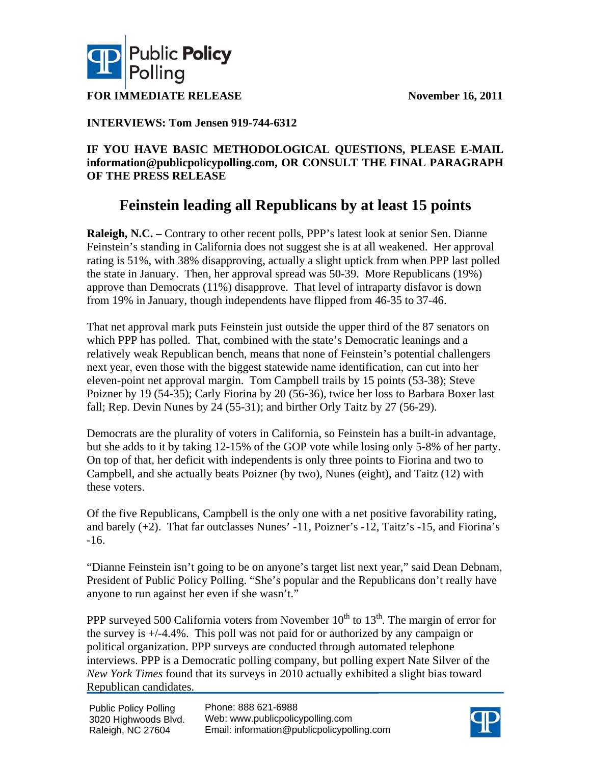



**FOR IMMEDIATE RELEASE** November 16, 2011

## **INTERVIEWS: Tom Jensen 919-744-6312**

### **IF YOU HAVE BASIC METHODOLOGICAL QUESTIONS, PLEASE E-MAIL information@publicpolicypolling.com, OR CONSULT THE FINAL PARAGRAPH OF THE PRESS RELEASE**

## **Feinstein leading all Republicans by at least 15 points**

**Raleigh, N.C.** – Contrary to other recent polls, PPP's latest look at senior Sen. Dianne Feinstein's standing in California does not suggest she is at all weakened. Her approval rating is 51%, with 38% disapproving, actually a slight uptick from when PPP last polled the state in January. Then, her approval spread was 50-39. More Republicans (19%) approve than Democrats (11%) disapprove. That level of intraparty disfavor is down from 19% in January, though independents have flipped from 46-35 to 37-46.

That net approval mark puts Feinstein just outside the upper third of the 87 senators on which PPP has polled. That, combined with the state's Democratic leanings and a relatively weak Republican bench, means that none of Feinstein's potential challengers next year, even those with the biggest statewide name identification, can cut into her eleven-point net approval margin. Tom Campbell trails by 15 points (53-38); Steve Poizner by 19 (54-35); Carly Fiorina by 20 (56-36), twice her loss to Barbara Boxer last fall; Rep. Devin Nunes by 24 (55-31); and birther Orly Taitz by 27 (56-29).

Democrats are the plurality of voters in California, so Feinstein has a built-in advantage, but she adds to it by taking 12-15% of the GOP vote while losing only 5-8% of her party. On top of that, her deficit with independents is only three points to Fiorina and two to Campbell, and she actually beats Poizner (by two), Nunes (eight), and Taitz (12) with these voters.

Of the five Republicans, Campbell is the only one with a net positive favorability rating, and barely (+2). That far outclasses Nunes' -11, Poizner's -12, Taitz's -15, and Fiorina's -16.

"Dianne Feinstein isn't going to be on anyone's target list next year," said Dean Debnam, President of Public Policy Polling. "She's popular and the Republicans don't really have anyone to run against her even if she wasn't."

PPP surveyed 500 California voters from November  $10^{th}$  to  $13^{th}$ . The margin of error for the survey is +/-4.4%. This poll was not paid for or authorized by any campaign or political organization. PPP surveys are conducted through automated telephone interviews. PPP is a Democratic polling company, but polling expert Nate Silver of the *New York Times* found that its surveys in 2010 actually exhibited a slight bias toward Republican candidates.

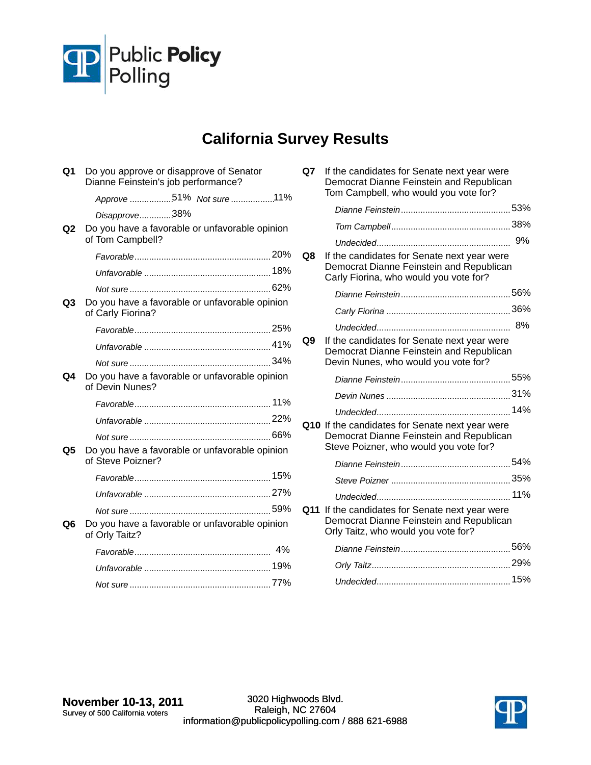

# **California Survey Results**

| Q1             | Do you approve or disapprove of Senator<br>Dianne Feinstein's job performance? |  |
|----------------|--------------------------------------------------------------------------------|--|
|                | Approve 51% Not sure 11%                                                       |  |
|                | Disapprove38%                                                                  |  |
| Q <sub>2</sub> | Do you have a favorable or unfavorable opinion<br>of Tom Campbell?             |  |
|                |                                                                                |  |
|                |                                                                                |  |
|                |                                                                                |  |
| Q <sub>3</sub> | Do you have a favorable or unfavorable opinion<br>of Carly Fiorina?            |  |
|                |                                                                                |  |
|                |                                                                                |  |
|                |                                                                                |  |
| Q4             | Do you have a favorable or unfavorable opinion<br>of Devin Nunes?              |  |
|                |                                                                                |  |
|                |                                                                                |  |
|                |                                                                                |  |
| Q5             | Do you have a favorable or unfavorable opinion<br>of Steve Poizner?            |  |
|                |                                                                                |  |
|                |                                                                                |  |
|                |                                                                                |  |
| Q6             | Do you have a favorable or unfavorable opinion<br>of Orly Taitz?               |  |
|                |                                                                                |  |
|                |                                                                                |  |
|                |                                                                                |  |

| Q7 | If the candidates for Senate next year were<br>Democrat Dianne Feinstein and Republican<br>Tom Campbell, who would you vote for?      |     |
|----|---------------------------------------------------------------------------------------------------------------------------------------|-----|
|    |                                                                                                                                       |     |
|    |                                                                                                                                       |     |
|    |                                                                                                                                       |     |
| Q8 | If the candidates for Senate next year were<br>Democrat Dianne Feinstein and Republican<br>Carly Fiorina, who would you vote for?     |     |
|    |                                                                                                                                       |     |
|    |                                                                                                                                       |     |
|    |                                                                                                                                       |     |
| Q9 | If the candidates for Senate next year were<br>Democrat Dianne Feinstein and Republican<br>Devin Nunes, who would you vote for?       |     |
|    |                                                                                                                                       |     |
|    |                                                                                                                                       |     |
|    |                                                                                                                                       |     |
|    | Q10 If the candidates for Senate next year were<br>Democrat Dianne Feinstein and Republican<br>Steve Poizner, who would you vote for? |     |
|    |                                                                                                                                       |     |
|    |                                                                                                                                       |     |
|    |                                                                                                                                       |     |
|    | Q11 If the candidates for Senate next year were<br>Democrat Dianne Feinstein and Republican<br>Orly Taitz, who would you vote for?    |     |
|    |                                                                                                                                       |     |
|    |                                                                                                                                       |     |
|    |                                                                                                                                       | 15% |

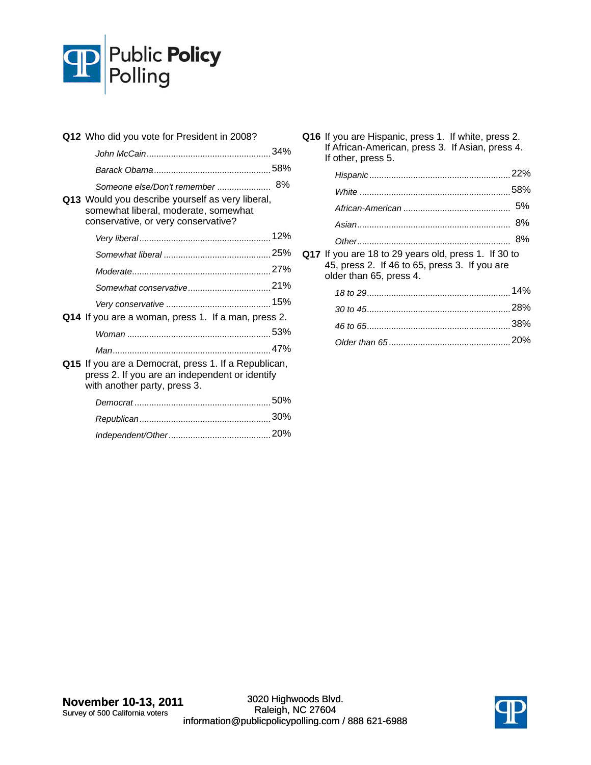

| Q12 Who did you vote for President in 2008?                                                                                            |  |
|----------------------------------------------------------------------------------------------------------------------------------------|--|
|                                                                                                                                        |  |
|                                                                                                                                        |  |
| Someone else/Don't remember  8%                                                                                                        |  |
| Q13 Would you describe yourself as very liberal,<br>somewhat liberal, moderate, somewhat<br>conservative, or very conservative?        |  |
|                                                                                                                                        |  |
|                                                                                                                                        |  |
|                                                                                                                                        |  |
|                                                                                                                                        |  |
|                                                                                                                                        |  |
| Q14 If you are a woman, press 1. If a man, press 2.                                                                                    |  |
|                                                                                                                                        |  |
|                                                                                                                                        |  |
| Q15 If you are a Democrat, press 1. If a Republican,<br>press 2. If you are an independent or identify<br>with another party, press 3. |  |
|                                                                                                                                        |  |
|                                                                                                                                        |  |
|                                                                                                                                        |  |

**Q16** If you are Hispanic, press 1. If white, press 2. If African-American, press 3. If Asian, press 4. If other, press 5.

| Q17 If you are 18 to 29 years old, press 1. If 30 to |  |
|------------------------------------------------------|--|

45, press 2. If 46 to 65, press 3. If you are older than 65, press 4.

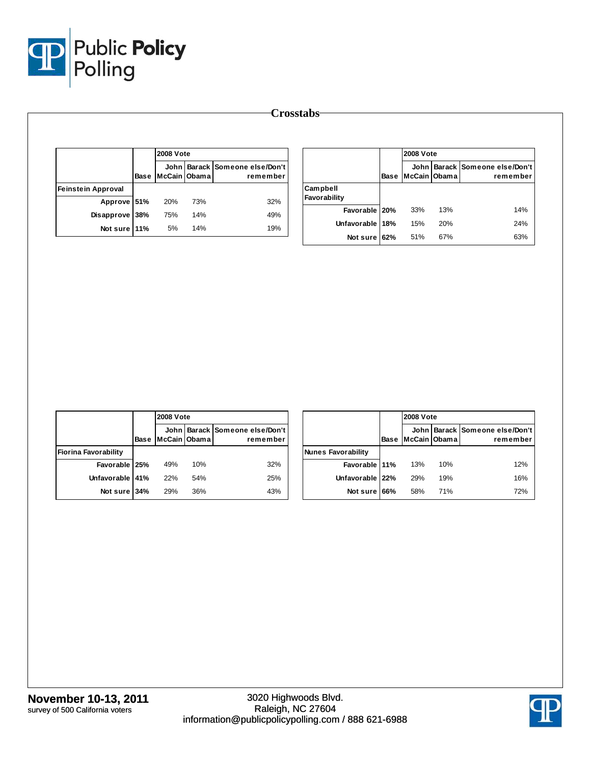

|                           |      | <b>2008 Vote</b> |     |                                            |
|---------------------------|------|------------------|-----|--------------------------------------------|
|                           | Base | McCain Obama     |     | John Barack Someone else/Don't<br>remember |
| <b>Feinstein Approval</b> |      |                  |     |                                            |
| Approve 51%               |      | 20%              | 73% | 32%                                        |
| Disapprove                | 38%  | 75%              | 14% | 49%                                        |
| Not sure 11%              |      | 5%               | 14% | 19%                                        |

|                          |             | <b>2008 Vote</b> |     |                                            |
|--------------------------|-------------|------------------|-----|--------------------------------------------|
|                          | <b>Base</b> | McCain Obama     |     | John Barack Someone else/Don't<br>remember |
| Campbell<br>Favorability |             |                  |     |                                            |
| Favorable   20%          |             | 33%              | 13% | 14%                                        |
| Unfavorable              | 18%         | 15%              | 20% | 24%                                        |
| Not sure                 | 62%         | 51%              | 67% | 63%                                        |

|                             |      |              | <b>2008 Vote</b> |                                            |  |
|-----------------------------|------|--------------|------------------|--------------------------------------------|--|
|                             | Base | McCain Obama |                  | John Barack Someone else/Don't<br>remember |  |
| <b>Fiorina Favorability</b> |      |              |                  |                                            |  |
| Favorable   25%             |      | 49%          | 10%              | 32%                                        |  |
| Unfavorable 41%             |      | 22%          | 54%              | 25%                                        |  |
| Not sure 34%                |      | 29%          | 36%              | 43%                                        |  |

|                    |      |              | <b>2008 Vote</b> |                                            |  |
|--------------------|------|--------------|------------------|--------------------------------------------|--|
|                    | Base | McCain Obama |                  | John Barack Someone else/Don't<br>remember |  |
| Nunes Favorability |      |              |                  |                                            |  |
| Favorable 11%      |      | 13%          | 10%              | 12%                                        |  |
| Unfavorable 22%    |      | 29%          | 19%              | 16%                                        |  |
| Not sure 66%       |      | 58%          | 71%              | 72%                                        |  |

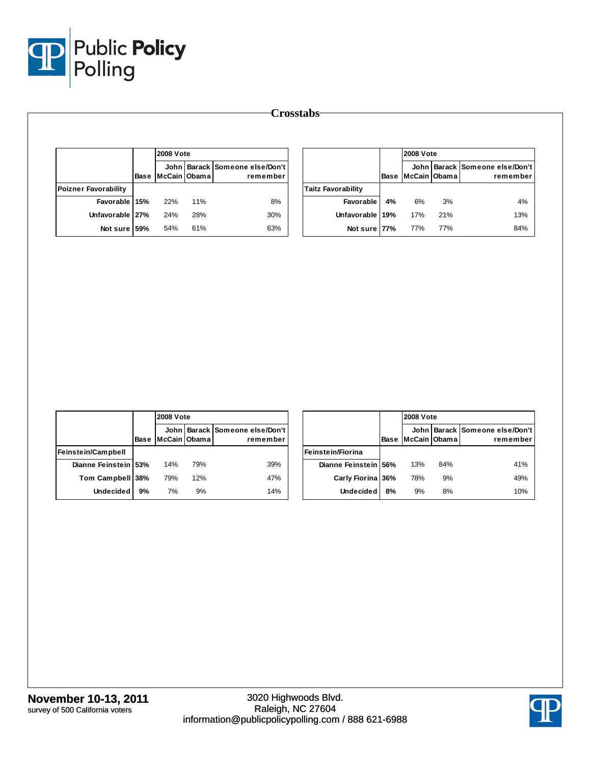

|                             |      | <b>2008 Vote</b> |     |                                            |
|-----------------------------|------|------------------|-----|--------------------------------------------|
|                             | Base | lMcCain IObama   |     | John Barack Someone else/Don't<br>remember |
| <b>Poizner Favorability</b> |      |                  |     |                                            |
| Favorable 15%               |      | 22%              | 11% | 8%                                         |
| Unfavorable 27%             |      | 24%              | 28% | 30%                                        |
| Not sure                    | 59%  | 54%              | 61% | 63%                                        |

|                           |             |              | <b>2008 Vote</b> |                                            |  |
|---------------------------|-------------|--------------|------------------|--------------------------------------------|--|
|                           | <b>Base</b> | McCain Obama |                  | John Barack Someone else/Don't<br>remember |  |
| <b>Taitz Favorability</b> |             |              |                  |                                            |  |
| Favorable                 | 4%          | 6%           | 3%               | 4%                                         |  |
| Unfavorable 19%           |             | 17%          | 21%              | 13%                                        |  |
| Not sure 77%              |             | 77%          | 77%              | 84%                                        |  |

|                      |      | <b>2008 Vote</b> |     |                                            |
|----------------------|------|------------------|-----|--------------------------------------------|
|                      | Base | McCain Obama     |     | John Barack Someone else/Don't<br>remember |
| Feinstein/Campbell   |      |                  |     |                                            |
| Dianne Feinstein 53% |      | 14%              | 79% | 39%                                        |
| Tom Campbell 38%     |      | 79%              | 12% | 47%                                        |
| <b>Undecided</b>     | 9%   | 7%               | 9%  | 14%                                        |

|                      |             |              | <b>2008 Vote</b> |                                            |  |  |  |  |
|----------------------|-------------|--------------|------------------|--------------------------------------------|--|--|--|--|
|                      | <b>Base</b> | McCain Obama |                  | John Barack Someone else/Don't<br>remember |  |  |  |  |
| Feinstein/Fiorina    |             |              |                  |                                            |  |  |  |  |
| Dianne Feinstein 56% |             | 13%          | 84%              | 41%                                        |  |  |  |  |
| Carly Fiorina 36%    |             | 78%          | 9%               | 49%                                        |  |  |  |  |
| <b>Undecided</b>     | 8%          | 9%           | 8%               | 10%                                        |  |  |  |  |

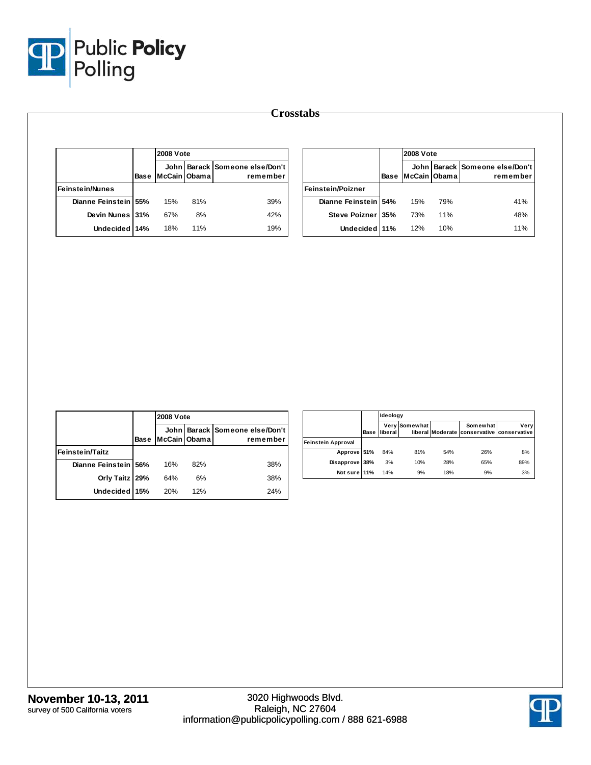

|                        |      | <b>2008 Vote</b>                                               |     |     |  |
|------------------------|------|----------------------------------------------------------------|-----|-----|--|
|                        | Base | John   Barack   Someone else/Don't<br>McCain Obama<br>remember |     |     |  |
| <b>Feinstein/Nunes</b> |      |                                                                |     |     |  |
| Dianne Feinstein 55%   |      | 15%                                                            | 81% | 39% |  |
| Devin Nunes 31%        |      | 67%                                                            | 8%  | 42% |  |
| Undecided 14%          |      | 18%                                                            | 11% | 19% |  |

|                          |             | <b>2008 Vote</b><br>John Barack Someone else/Don't<br>McCain Obama<br>remember |     |     |  |  |
|--------------------------|-------------|--------------------------------------------------------------------------------|-----|-----|--|--|
|                          | <b>Base</b> |                                                                                |     |     |  |  |
| <b>Feinstein/Poizner</b> |             |                                                                                |     |     |  |  |
| Dianne Feinstein 54%     |             | 15%                                                                            | 79% | 41% |  |  |
| Steve Poizner 35%        |             | 73%                                                                            | 11% | 48% |  |  |
| Undecided 11%            |             | 12%                                                                            | 10% | 11% |  |  |

|                        |      | <b>2008 Vote</b> |     |                                            |
|------------------------|------|------------------|-----|--------------------------------------------|
|                        | Base | McCain Obama     |     | John Barack Someone else/Don't<br>remember |
| <b>Feinstein/Taitz</b> |      |                  |     |                                            |
| Dianne Feinstein 56%   |      | 16%              | 82% | 38%                                        |
| Orly Taitz   29%       |      | 64%              | 6%  | 38%                                        |
| Undecided 15%          |      | 20%              | 12% | 24%                                        |

|                    |      | Ideology       |               |     |                                                        |      |
|--------------------|------|----------------|---------------|-----|--------------------------------------------------------|------|
|                    | Base | <b>liberal</b> | Very Somewhat |     | Somewhat<br>liberal Moderate conservative conservative | Very |
| Feinstein Approval |      |                |               |     |                                                        |      |
| Approve 51%        |      | 84%            | 81%           | 54% | 26%                                                    | 8%   |
| Disapprove 38%     |      | 3%             | 10%           | 28% | 65%                                                    | 89%  |
| Not sure 11%       |      | 14%            | 9%            | 18% | 9%                                                     | 3%   |

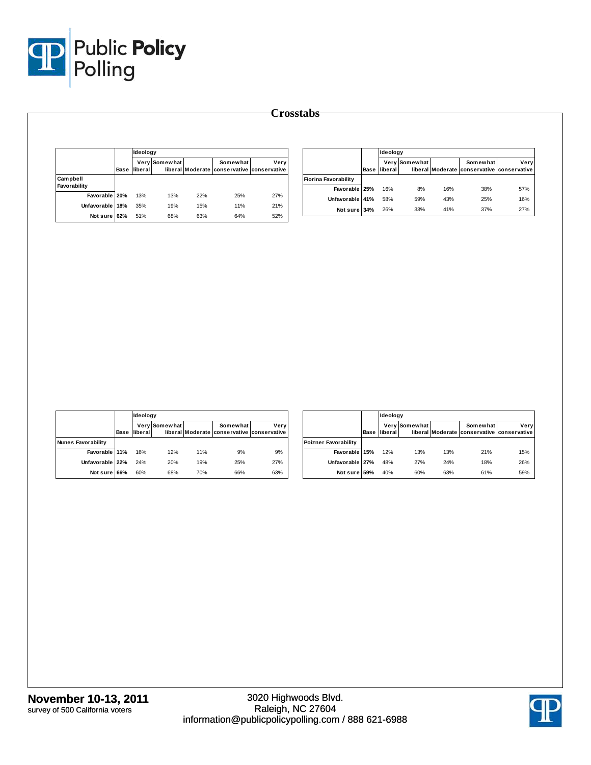

|                          |      | Ideology |               |     |                                                        |      |
|--------------------------|------|----------|---------------|-----|--------------------------------------------------------|------|
|                          | Base | liberal  | Very Somewhat |     | Somewhat<br>liberal Moderate conservative conservative | Very |
| Campbell<br>Favorability |      |          |               |     |                                                        |      |
| Favorable 20%            |      | 13%      | 13%           | 22% | 25%                                                    | 27%  |
| Unfavorable              | 18%  | 35%      | 19%           | 15% | 11%                                                    | 21%  |
| Not sure                 | 62%  | 51%      | 68%           | 63% | 64%                                                    | 52%  |

|                             |      | Ideology |               |     |                                                        |      |
|-----------------------------|------|----------|---------------|-----|--------------------------------------------------------|------|
|                             | Base | liberal  | Very Somewhat |     | Somewhat<br>liberal Moderate conservative conservative | Verv |
| <b>Fiorina Favorability</b> |      |          |               |     |                                                        |      |
| Favorable 25%               |      | 16%      | 8%            | 16% | 38%                                                    | 57%  |
| Unfavorable 41%             |      | 58%      | 59%           | 43% | 25%                                                    | 16%  |
| Not sure 34%                |      | 26%      | 33%           | 41% | 37%                                                    | 27%  |

|                           |      | Ideology |               |     |                                                        |      |
|---------------------------|------|----------|---------------|-----|--------------------------------------------------------|------|
|                           | Base | liberal  | Very Somewhat |     | Somewhat<br>liberal Moderate conservative conservative | Very |
| <b>Nunes Favorability</b> |      |          |               |     |                                                        |      |
| Favorable 11%             |      | 16%      | 12%           | 11% | 9%                                                     | 9%   |
| Unfavorable 22%           |      | 24%      | 20%           | 19% | 25%                                                    | 27%  |
| Not sure                  | 66%  | 60%      | 68%           | 70% | 66%                                                    | 63%  |

|                             |      |         | Ideology      |     |                                                        |      |  |  |  |
|-----------------------------|------|---------|---------------|-----|--------------------------------------------------------|------|--|--|--|
|                             | Base | liberal | Very Somewhat |     | Somewhat<br>liberal Moderate conservative conservative | Verv |  |  |  |
| <b>Poizner Favorability</b> |      |         |               |     |                                                        |      |  |  |  |
| Favorable 15%               |      | 12%     | 13%           | 13% | 21%                                                    | 15%  |  |  |  |
| Unfavorable 27%             |      | 48%     | 27%           | 24% | 18%                                                    | 26%  |  |  |  |
| Not sure                    | 59%  | 40%     | 60%           | 63% | 61%                                                    | 59%  |  |  |  |

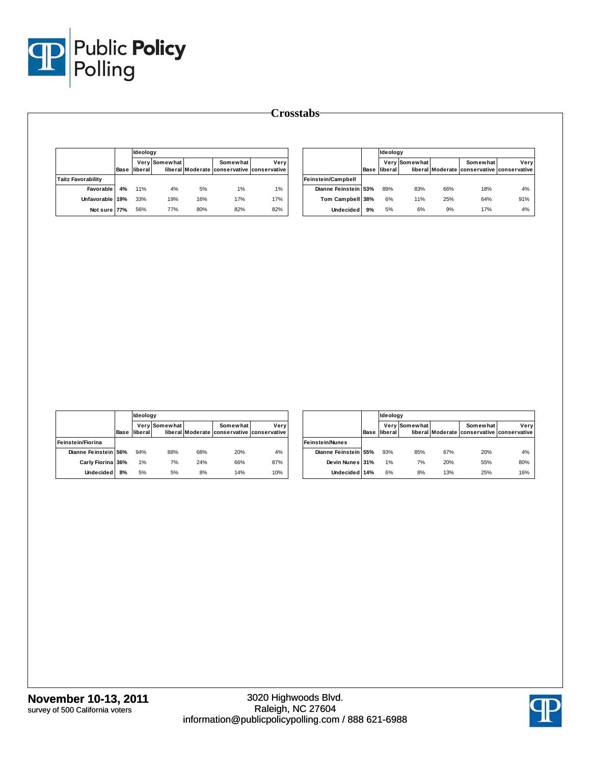

|                           |      | Ideology |               |     |                                                        |      |
|---------------------------|------|----------|---------------|-----|--------------------------------------------------------|------|
|                           | Base | liberal  | Very Somewhat |     | Somewhat<br>liberal Moderate conservative conservative | Verv |
| <b>Taitz Favorability</b> |      |          |               |     |                                                        |      |
| Favorable                 | 4%   | 11%      | 4%            | 5%  | 1%                                                     | 1%   |
| Unfavorable 19%           |      | 33%      | 19%           | 16% | 17%                                                    | 17%  |
| Not sure 77%              |      | 56%      | 77%           | 80% | 82%                                                    | 82%  |

|                      |      | Ideology |               |     |                                                        |      |
|----------------------|------|----------|---------------|-----|--------------------------------------------------------|------|
|                      | Base | liberal  | Very Somewhat |     | Somewhat<br>liberal Moderate conservative conservative | Very |
| Feinstein/Campbell   |      |          |               |     |                                                        |      |
| Dianne Feinstein 53% |      | 89%      | 83%           | 66% | 18%                                                    | 4%   |
| Tom Campbell 38%     |      | 6%       | 11%           | 25% | 64%                                                    | 91%  |
| <b>Undecided</b>     | 9%   | 5%       | 6%            | 9%  | 17%                                                    | 4%   |

|                      |      | Ideology |               |     |                                                        |      |
|----------------------|------|----------|---------------|-----|--------------------------------------------------------|------|
|                      | Base | liberal  | Very Somewhat |     | Somewhat<br>liberal Moderate conservative conservative | Very |
| Feinstein/Fiorina    |      |          |               |     |                                                        |      |
| Dianne Feinstein 56% |      | 94%      | 88%           | 68% | 20%                                                    | 4%   |
| Carly Fiorina 36%    |      | 1%       | 7%            | 24% | 66%                                                    | 87%  |
| <b>Undecided</b>     | 8%   | 5%       | 5%            | 8%  | 14%                                                    | 10%  |

|                        |      | Ideology |               |     |                                                        |      |
|------------------------|------|----------|---------------|-----|--------------------------------------------------------|------|
|                        | Base | liberal  | Very Somewhat |     | Somewhat<br>liberal Moderate conservative conservative | Verv |
| <b>Feinstein/Nunes</b> |      |          |               |     |                                                        |      |
| Dianne Feinstein 55%   |      | 93%      | 85%           | 67% | 20%                                                    | 4%   |
| Devin Nunes 31%        |      | 1%       | 7%            | 20% | 55%                                                    | 80%  |
| Undecided 14%          |      | 6%       | 8%            | 13% | 25%                                                    | 16%  |

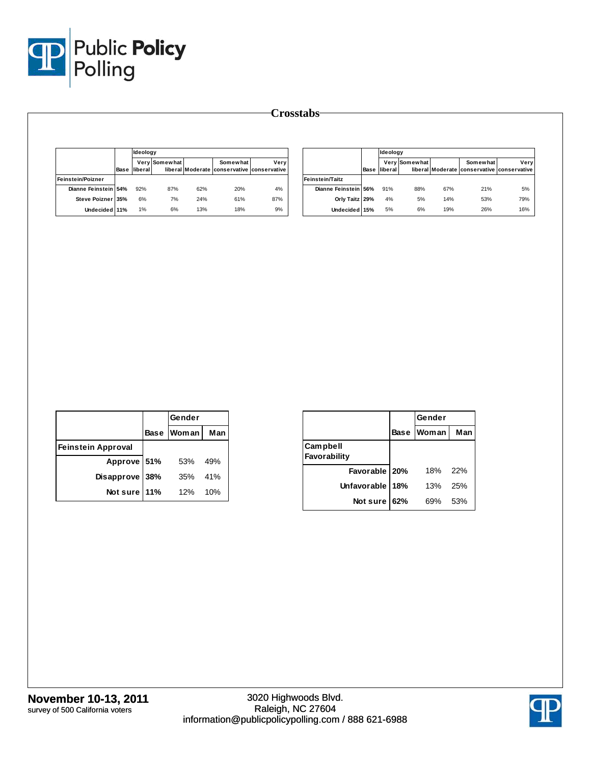

|                      |      |         | Ideoloav             |     |                                                        |      |  |  |
|----------------------|------|---------|----------------------|-----|--------------------------------------------------------|------|--|--|
|                      | Base | liberal | <b>Very Somewhat</b> |     | Somewhat<br>liberal Moderate conservative conservative | Verv |  |  |
| Feinstein/Poizner    |      |         |                      |     |                                                        |      |  |  |
| Dianne Feinstein 54% |      | 92%     | 87%                  | 62% | 20%                                                    | 4%   |  |  |
| Steve Poizner 35%    |      | 6%      | 7%                   | 24% | 61%                                                    | 87%  |  |  |
| Undecided 11%        |      | 1%      | 6%                   | 13% | 18%                                                    | 9%   |  |  |

|                        |      | Ideology |               |     |                                                        |      |  |  |
|------------------------|------|----------|---------------|-----|--------------------------------------------------------|------|--|--|
|                        | Base | liberal  | Very Somewhat |     | Somewhat<br>liberal Moderate conservative conservative | Verv |  |  |
| <b>Feinstein/Taitz</b> |      |          |               |     |                                                        |      |  |  |
| Dianne Feinstein 56%   |      | 91%      | 88%           | 67% | 21%                                                    | 5%   |  |  |
| Orly Taitz 29%         |      | 4%       | 5%            | 14% | 53%                                                    | 79%  |  |  |
| Undecided 15%          |      | 5%       | 6%            | 19% | 26%                                                    | 16%  |  |  |

|                           |     | Gender     |     |
|---------------------------|-----|------------|-----|
|                           |     | Base Woman | Man |
| <b>Feinstein Approval</b> |     |            |     |
| Approve 51%               |     | 53%        | 49% |
| <b>Disapprove</b>         | 38% | 35%        | 41% |
| Not sure                  | 11% | 12%        | 10% |

|                          |             | Gender |     |
|--------------------------|-------------|--------|-----|
|                          | <b>Base</b> | Woman  | Man |
| Campbell<br>Favorability |             |        |     |
| Favorable   20%          |             | 18%    | 22% |
| Unfavorable              | 18%         | 13%    | 25% |
| Not sure                 | 62%         | 69%    | 53% |

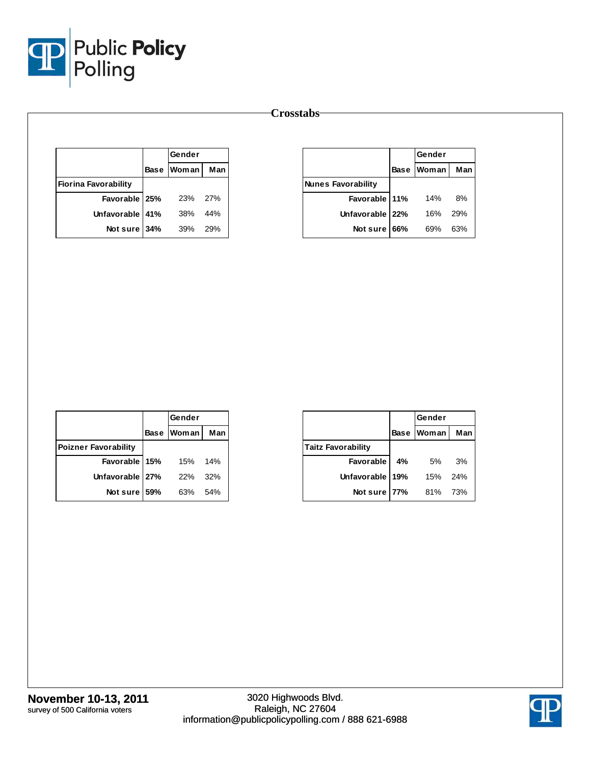

|                             | Gender       |            |
|-----------------------------|--------------|------------|
|                             | Base   Woman | Man        |
| <b>Fiorina Favorability</b> |              |            |
| Favorable   25%             | - 23%        | 27%        |
| Unfavorable 41%             | 38%          | 44%        |
| Not sure 34%                | 39%          | <b>29%</b> |

|                           |             | Gender |     |
|---------------------------|-------------|--------|-----|
|                           | <b>Base</b> | Woman  | Man |
| <b>Nunes Favorability</b> |             |        |     |
| Favorable 11%             |             | 14%    | 8%  |
| Unfavorable 22%           |             | 16%    | 29% |
| Not sure                  | 66%         | 69%    | 63% |

|                             |     | Gender     |     |
|-----------------------------|-----|------------|-----|
|                             |     | Base Woman | Man |
| <b>Poizner Favorability</b> |     |            |     |
| Favorable 15%               |     | 15%        | 14% |
| Unfavorable 27%             |     | 22%        | 32% |
| Not sure                    | 59% | 63%        | 54% |

|                           |             | Gender  |     |
|---------------------------|-------------|---------|-----|
|                           | <b>Base</b> | Woman I | Man |
| <b>Taitz Favorability</b> |             |         |     |
| <b>Favorable</b>          | 4%          | 5%      | 3%  |
| Unfavorable 19%           |             | 15%     | 24% |
| Not sure                  | <b>77%</b>  | 81%     | 73% |

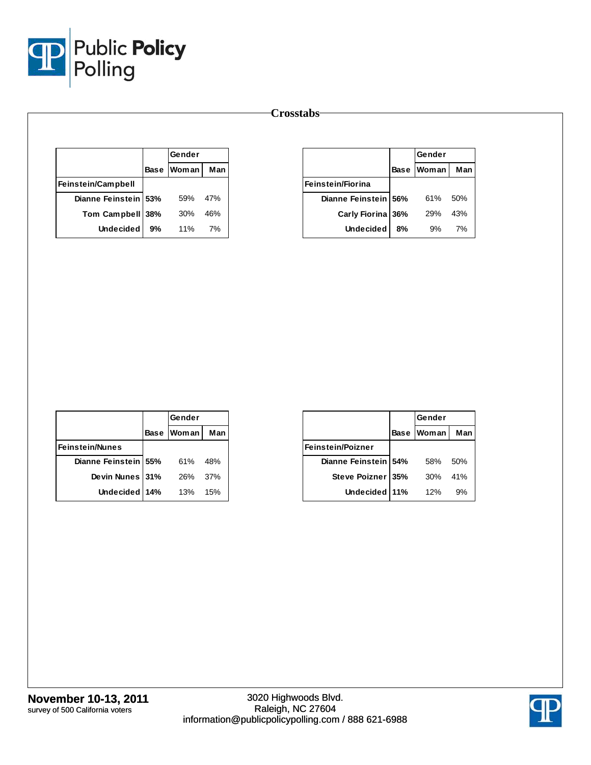

|                      |             | Gender |     |
|----------------------|-------------|--------|-----|
|                      | <b>Base</b> | Woman  | Man |
| Feinstein/Campbell   |             |        |     |
| Dianne Feinstein 53% |             | 59%    | 47% |
| Tom Campbell 38%     |             | 30%    | 46% |
| <b>Undecided</b>     | 9%          | 11%    | 7%  |

|                          |             | Gender     |     |
|--------------------------|-------------|------------|-----|
|                          | <b>Base</b> | Woman      | Man |
| <b>Feinstein/Fiorina</b> |             |            |     |
| Dianne Feinstein 56%     |             | 61%        | 50% |
| Carly Fiorina 36%        |             | <b>29%</b> | 43% |
| <b>Undecided</b>         | 8%          | 9%         | 7%  |

|                        | Gender       |     |
|------------------------|--------------|-----|
|                        | Base   Woman | Man |
| <b>Feinstein/Nunes</b> |              |     |
| Dianne Feinstein 55%   | 61%          | 48% |
| Devin Nunes 31%        | 26%          | 37% |
| Undecided   14%        | 13%          | 15% |

|                          |             | Gender       |     |
|--------------------------|-------------|--------------|-----|
|                          | <b>Base</b> | <b>Woman</b> | Man |
| <b>Feinstein/Poizner</b> |             |              |     |
| Dianne Feinstein 54%     |             | 58%          | 50% |
| Steve Poizner   35%      |             | 30%          | 41% |
| Undecided 11%            |             | 12%          | 9%  |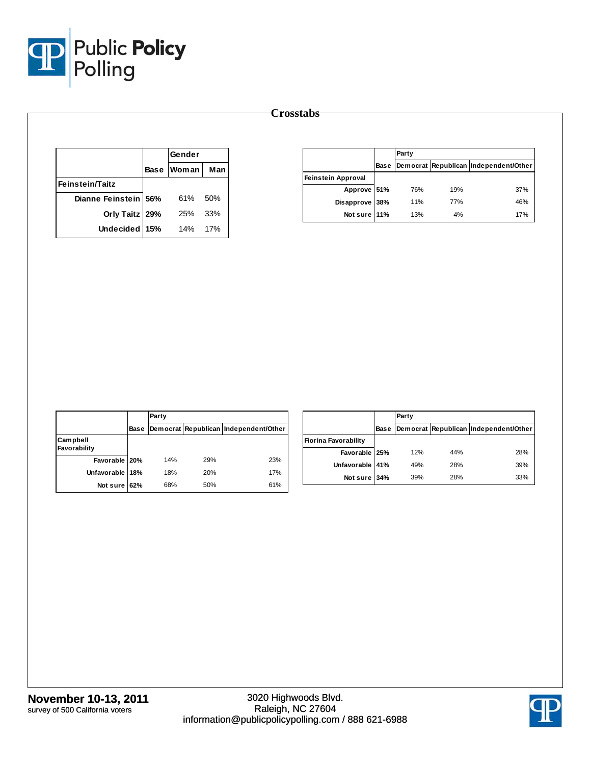

|                        | Gender            |      |
|------------------------|-------------------|------|
|                        | <b>Base Woman</b> | Man  |
| <b>Feinstein/Taitz</b> |                   |      |
| Dianne Feinstein 56%   | 61%               | .50% |
| Orly Taitz   29%       | 25%               | 33%  |
| Undecided 15%          | 14%               | 17%  |

|                           |      | Party      |     |                                       |
|---------------------------|------|------------|-----|---------------------------------------|
|                           | Base |            |     | Democrat Republican Independent/Other |
| <b>Feinstein Approval</b> |      |            |     |                                       |
| Approve 51%               |      | 76%        | 19% | 37%                                   |
| Disapprove 38%            |      | <b>11%</b> | 77% | 46%                                   |
| Not sure 11%              |      | 13%        | 4%  | 17%                                   |

|                          |             | Party |     |                                       |
|--------------------------|-------------|-------|-----|---------------------------------------|
|                          | <b>Base</b> |       |     | Democrat Republican Independent/Other |
| Campbell<br>Favorability |             |       |     |                                       |
| Favorable 20%            |             | 14%   | 29% | 23%                                   |
| Unfavorable 18%          |             | 18%   | 20% | 17%                                   |
| Not sure 62%             |             | 68%   | 50% | 61%                                   |

|                             |      | Party |     |                                       |
|-----------------------------|------|-------|-----|---------------------------------------|
|                             | Base |       |     | Democrat Republican Independent/Other |
| <b>Fiorina Favorability</b> |      |       |     |                                       |
| Favorable 25%               |      | 12%   | 44% | 28%                                   |
| Unfavorable 41%             |      | 49%   | 28% | 39%                                   |
| Not sure 34%                |      | 39%   | 28% | 33%                                   |

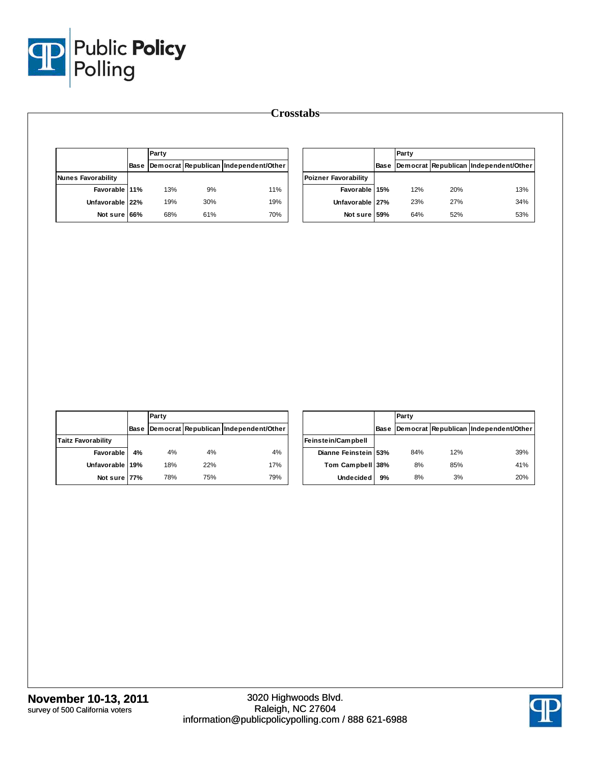

|                           |             | Party |     |                                       |                             | Party |     |                                            |
|---------------------------|-------------|-------|-----|---------------------------------------|-----------------------------|-------|-----|--------------------------------------------|
|                           | <b>Base</b> |       |     | Democrat Republican Independent/Other |                             |       |     | Base Democrat Republican Independent/Other |
| <b>Nunes Favorability</b> |             |       |     |                                       | <b>Poizner Favorability</b> |       |     |                                            |
| Favorable 11%             |             | 13%   | 9%  | 11%                                   | Favorable 15%               | 12%   | 20% | 13%                                        |
| Unfavorable 22%           |             | 19%   | 30% | 19%                                   | Unfavorable 27%             | 23%   | 27% | 34%                                        |
| Not sure 66%              |             | 68%   | 61% | 70%                                   | Not sure 59%                | 64%   | 52% | 53%                                        |

|                           |      | Party |     |                                       |
|---------------------------|------|-------|-----|---------------------------------------|
|                           | Base |       |     | Democrat Republican Independent/Other |
| <b>Taitz Favorability</b> |      |       |     |                                       |
| <b>Favorable</b>          | 4%   | 4%    | 4%  | 4%                                    |
| Unfavorable 19%           |      | 18%   | 22% | 17%                                   |
| Not sure 77%              |      | 78%   | 75% | 79%                                   |

|                      |             | Party |     |                                       |
|----------------------|-------------|-------|-----|---------------------------------------|
|                      | <b>Base</b> |       |     | Democrat Republican Independent/Other |
| Feinstein/Campbell   |             |       |     |                                       |
| Dianne Feinstein 53% |             | 84%   | 12% | 39%                                   |
| Tom Campbell 38%     |             | 8%    | 85% | 41%                                   |
| <b>Undecided</b>     | 9%          | 8%    | 3%  | 20%                                   |

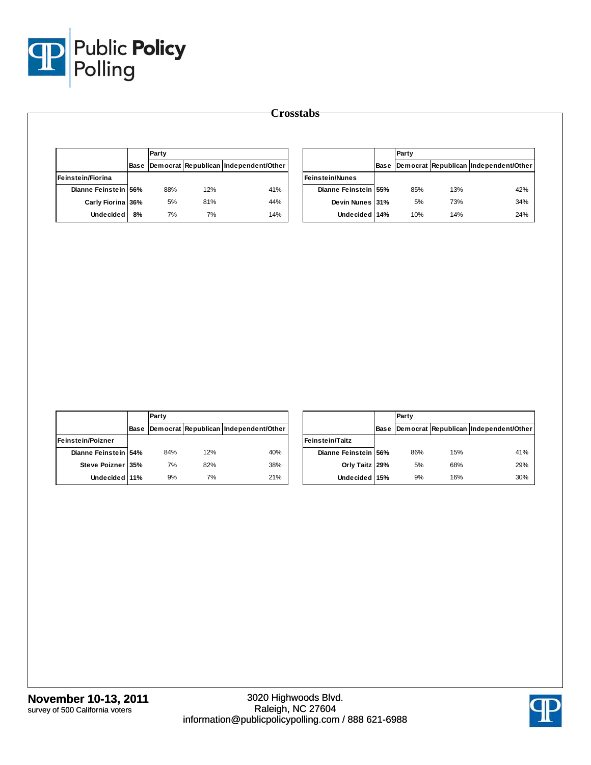

| Base Democrat Republican Independent/Other<br>Dianne Feinstein 56%<br>88%<br>12%<br>81%<br>Carly Fiorina 36%<br>5%<br>7%<br>7%<br>Undecided<br>8% | 41%<br>44%<br>14% | <b>Feinstein/Nunes</b><br>Dianne Feinstein 55%<br>Devin Nunes 31%<br>Undecided 14% | 85%<br>$5\%$<br>10% | 13%<br>73%<br>14% | Base Democrat Republican Independent/Other<br>42%<br>34%<br>24% |
|---------------------------------------------------------------------------------------------------------------------------------------------------|-------------------|------------------------------------------------------------------------------------|---------------------|-------------------|-----------------------------------------------------------------|
| Feinstein/Fiorina                                                                                                                                 |                   |                                                                                    |                     |                   |                                                                 |
|                                                                                                                                                   |                   |                                                                                    |                     |                   |                                                                 |
|                                                                                                                                                   |                   |                                                                                    |                     |                   |                                                                 |
|                                                                                                                                                   |                   |                                                                                    |                     |                   |                                                                 |
|                                                                                                                                                   |                   |                                                                                    |                     |                   |                                                                 |
|                                                                                                                                                   |                   |                                                                                    |                     |                   |                                                                 |
| Party                                                                                                                                             |                   |                                                                                    | Party               |                   |                                                                 |
| Base Democrat Republican Independent/Other                                                                                                        |                   |                                                                                    |                     |                   | Base Democrat Republican Independent/Other                      |
| Feinstein/Poizner                                                                                                                                 |                   | Feinstein/Taitz                                                                    |                     |                   |                                                                 |
| Dianne Feinstein 54%<br>12%<br>84%                                                                                                                | 40%               | Dianne Feinstein 56%                                                               | 86%                 | 15%               | 41%                                                             |
|                                                                                                                                                   |                   | Orly Taitz 29%                                                                     | $5\%$               | 68%               | 29%<br>30%                                                      |
| Steve Poizner 35%<br>7%<br>82%<br>$9\%$<br>$7\%$<br>Undecided 11%                                                                                 | 38%<br>21%        | Undecided 15%                                                                      | $9\%$               | 16%               |                                                                 |

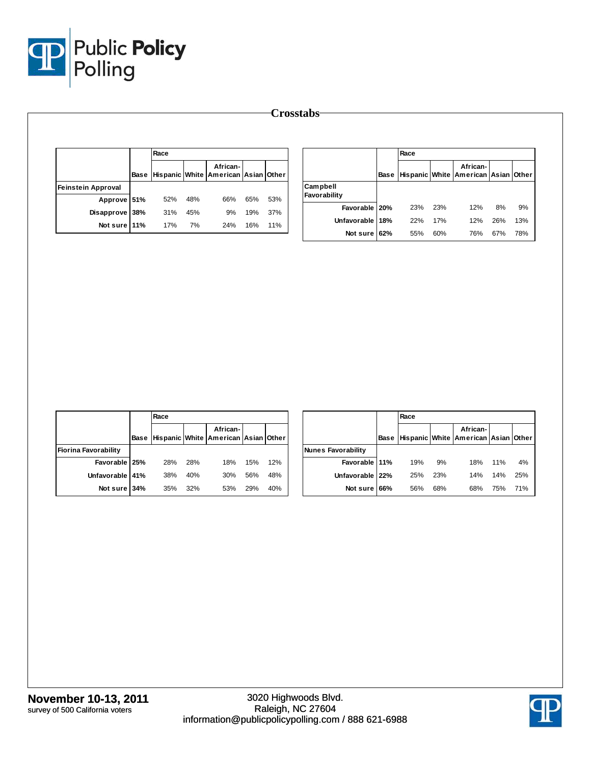

|                    | Race |     | African-                                 |     |     |                          |     | Race |     | African-                                 |     |     |
|--------------------|------|-----|------------------------------------------|-----|-----|--------------------------|-----|------|-----|------------------------------------------|-----|-----|
|                    |      |     | Base Hispanic White American Asian Other |     |     |                          |     |      |     | Base Hispanic White American Asian Other |     |     |
| Feinstein Approval |      |     |                                          |     |     | Campbell<br>Favorability |     |      |     |                                          |     |     |
| Approve 51%        | 52%  | 48% | 66%                                      | 65% | 53% |                          |     |      |     | 12%                                      |     |     |
| Disapprove 38%     | 31%  | 45% | 9%                                       | 19% | 37% | Favorable   20%          |     | 23%  | 23% |                                          | 8%  | 9%  |
| Not sure 11%       | 17%  | 7%  | 24%                                      | 16% | 11% | <b>Unfavorable</b>       | 18% | 22%  | 17% | 12%                                      | 26% | 13% |
|                    |      |     |                                          |     |     | Not sure 62%             |     | 55%  | 60% | 76%                                      | 67% | 78% |

|                             |      | Race |     |                                                 |     |     |
|-----------------------------|------|------|-----|-------------------------------------------------|-----|-----|
|                             | Base |      |     | African-<br>Hispanic White American Asian Other |     |     |
| <b>Fiorina Favorability</b> |      |      |     |                                                 |     |     |
| Favorable 25%               |      | 28%  | 28% | 18%                                             | 15% | 12% |
| Unfavorable 41%             |      | 38%  | 40% | 30%                                             | 56% | 48% |
| Not sure 34%                |      | 35%  | 32% | 53%                                             | 29% | 40% |

|                    |      | Race |     |                                                 |     |     |
|--------------------|------|------|-----|-------------------------------------------------|-----|-----|
|                    | Base |      |     | African-<br>Hispanic White American Asian Other |     |     |
| Nunes Favorability |      |      |     |                                                 |     |     |
| Favorable 11%      |      | 19%  | 9%  | 18%                                             | 11% | 4%  |
| Unfavorable 22%    |      | 25%  | 23% | 14%                                             | 14% | 25% |
| Not sure I         | 66%  | 56%  | 68% | 68%                                             | 75% | 71% |

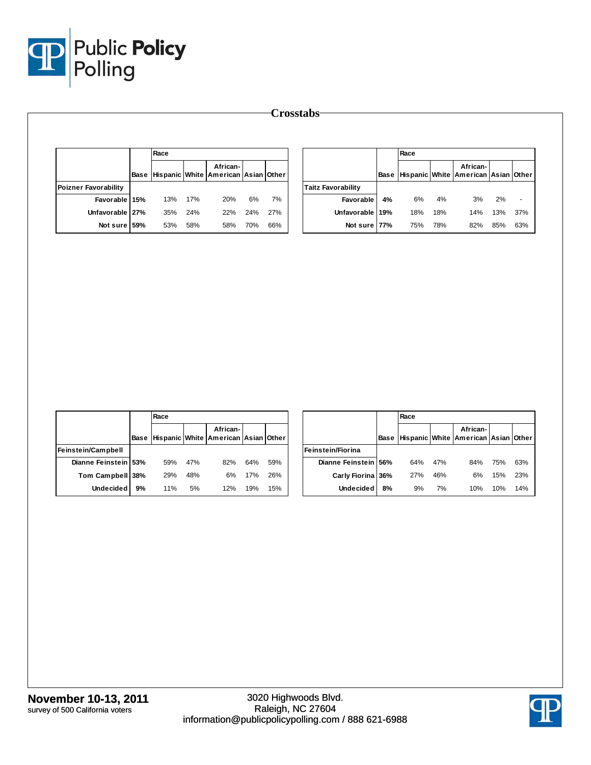

|                      | Race |     |                                                      |     |     |                           |    | Race |     |                                                      |     |     |
|----------------------|------|-----|------------------------------------------------------|-----|-----|---------------------------|----|------|-----|------------------------------------------------------|-----|-----|
|                      |      |     | African-<br>Base Hispanic White American Asian Other |     |     |                           |    |      |     | African-<br>Base Hispanic White American Asian Other |     |     |
| Poizner Favorability |      |     |                                                      |     |     | <b>Taitz Favorability</b> |    |      |     |                                                      |     |     |
| Favorable 15%        | 13%  | 17% | 20%                                                  | 6%  | 7%  | Favorable                 | 4% | 6%   | 4%  | 3%                                                   | 2%  | ٠   |
| Unfavorable 27%      | 35%  | 24% | 22%                                                  | 24% | 27% | Unfavorable 19%           |    | 18%  | 18% | 14%                                                  | 13% | 37% |
| Not sure 59%         | 53%  | 58% | 58%                                                  | 70% | 66% | Not sure 77%              |    | 75%  | 78% | 82%                                                  | 85% | 63% |

|                      |    | Race |     |                                                      |     |     |                      |    | Race |     |                                                      |     |     |
|----------------------|----|------|-----|------------------------------------------------------|-----|-----|----------------------|----|------|-----|------------------------------------------------------|-----|-----|
|                      |    |      |     | African-<br>Base Hispanic White American Asian Other |     |     |                      |    |      |     | African-<br>Base Hispanic White American Asian Other |     |     |
|                      |    |      |     |                                                      |     |     |                      |    |      |     |                                                      |     |     |
| Feinstein/Campbell   |    |      |     |                                                      |     |     | Feinstein/Fiorina    |    |      |     |                                                      |     |     |
| Dianne Feinstein 53% |    | 59%  | 47% | 82%                                                  | 64% | 59% | Dianne Feinstein 56% |    | 64%  | 47% | 84%                                                  | 75% | 63% |
| Tom Campbell 38%     |    | 29%  | 48% | 6%                                                   | 17% | 26% | Carly Fiorina 36%    |    | 27%  | 46% | 6%                                                   | 15% | 23% |
| <b>Undecided</b>     | 9% | 11%  | 5%  | 12%                                                  | 19% | 15% | Undecided            | 8% | 9%   | 7%  | 10%                                                  | 10% | 14% |

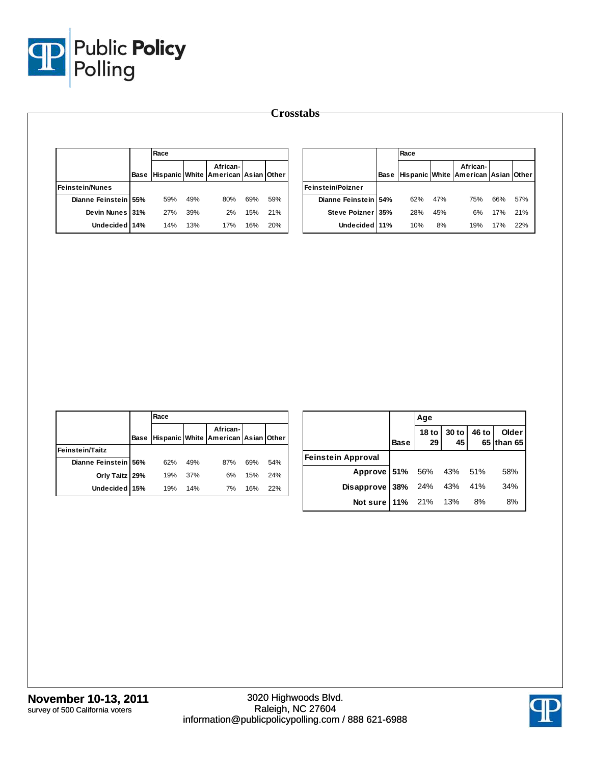

|                             |     |                                                      |     |     |  |                   | Race                                      |     |                                                      |     |     |
|-----------------------------|-----|------------------------------------------------------|-----|-----|--|-------------------|-------------------------------------------|-----|------------------------------------------------------|-----|-----|
|                             |     | African-<br>Base Hispanic White American Asian Other |     |     |  |                   |                                           |     | African-<br>Base Hispanic White American Asian Other |     |     |
|                             |     |                                                      |     |     |  |                   |                                           |     |                                                      |     |     |
| 59%<br>Dianne Feinstein 55% | 49% | 80%                                                  | 69% | 59% |  |                   | 62%                                       | 47% | 75%                                                  | 66% | 57% |
| Devin Nunes 31%<br>27%      | 39% | 2%                                                   | 15% | 21% |  |                   | 28%                                       | 45% | 6%                                                   | 17% | 21% |
| Undecided 14%<br>14%        | 13% | 17%                                                  | 16% |     |  |                   |                                           |     |                                                      |     |     |
|                             |     |                                                      |     |     |  | Feinstein/Poizner | Dianne Feinstein 54%<br>Steve Poizner 35% |     |                                                      |     |     |

|                        |      | Race |     |                                                 |     |     |
|------------------------|------|------|-----|-------------------------------------------------|-----|-----|
|                        | Base |      |     | African-<br>Hispanic White American Asian Other |     |     |
| <b>Feinstein/Taitz</b> |      |      |     |                                                 |     |     |
| Dianne Feinstein 56%   |      | 62%  | 49% | 87%                                             | 69% | 54% |
| Orly Taitz 29%         |      | 19%  | 37% | 6%                                              | 15% | 24% |
| Undecided 15%          |      | 19%  | 14% | 7%                                              | 16% | 22% |

|                                   |             | Age |                            |                     |
|-----------------------------------|-------------|-----|----------------------------|---------------------|
|                                   | <b>Base</b> |     | 18 to 30 to 46 to 29 45 65 | Older<br>65 than 65 |
| <b>Feinstein Approval</b>         |             |     |                            |                     |
| Approve 51% 56% 43% 51%           |             |     |                            | 58%                 |
| <b>Disapprove 38%</b> 24% 43% 41% |             |     |                            | 34%                 |
| Not sure   11% 21% 13% 8%         |             |     |                            | 8%                  |

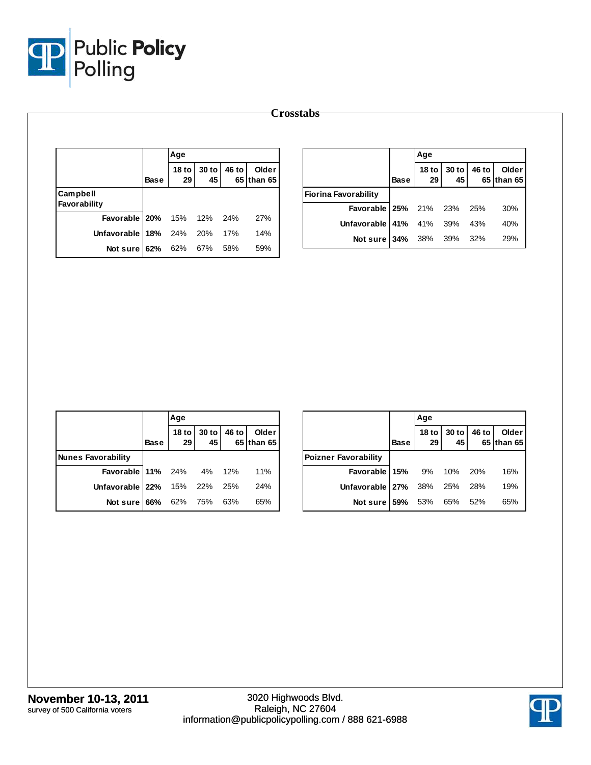

|                          |             | Age                    |             |       |                     |                                                |             | Age                    |             |       |                     |
|--------------------------|-------------|------------------------|-------------|-------|---------------------|------------------------------------------------|-------------|------------------------|-------------|-------|---------------------|
|                          | <b>Base</b> | 18 <sub>to</sub><br>29 | 30 to<br>45 | 46 to | Older<br>65 than 65 |                                                | <b>Base</b> | 18 <sub>to</sub><br>29 | 30 to<br>45 | 46 to | Older<br>65 than 65 |
| Campbell<br>Favorability |             |                        |             |       |                     | <b>Fiorina Favorability</b><br>Favorable   25% |             | 21%                    | 23%         | 25%   | 30%                 |
| Favorable   20%          |             | 15%                    | 12%         | 24%   | 27%                 | Unfavorable 41%                                |             | 41%                    | 39%         | 43%   | 40%                 |
| Unfavorable 18%          |             | 24%                    | 20%         | 17%   | 14%                 | Not sure 34%                                   |             | 38%                    | 39%         | 32%   | 29%                 |
| Not sure $62%$           |             | 62%                    | 67%         | 58%   | 59%                 |                                                |             |                        |             |       |                     |

|                                 |      | Age |                            |                     |
|---------------------------------|------|-----|----------------------------|---------------------|
|                                 | Base |     | 18 to 30 to 46 to 29 45 65 | Older<br>65 than 65 |
| <b>Nunes Favorability</b>       |      |     |                            |                     |
| <b>Favorable 11%</b> 24% 4% 12% |      |     |                            | 11%                 |
| Unfavorable 22% 15% 22% 25%     |      |     |                            | 24%                 |
| Not sure 66% 62% 75% 63%        |      |     |                            | 65%                 |

|                                 |             | Age             |                         |                     |
|---------------------------------|-------------|-----------------|-------------------------|---------------------|
|                                 | <b>Base</b> | 29 <sub>1</sub> | 18 to 30 to 46 to<br>45 | Older<br>65 than 65 |
| <b>Poizner Favorability</b>     |             |                 |                         |                     |
| <b>Favorable 15%</b> 9% 10% 20% |             |                 |                         | 16%                 |
| Unfavorable 27% 38% 25% 28%     |             |                 |                         | 19%                 |
| Not sure   59% 53% 65% 52%      |             |                 |                         | 65%                 |

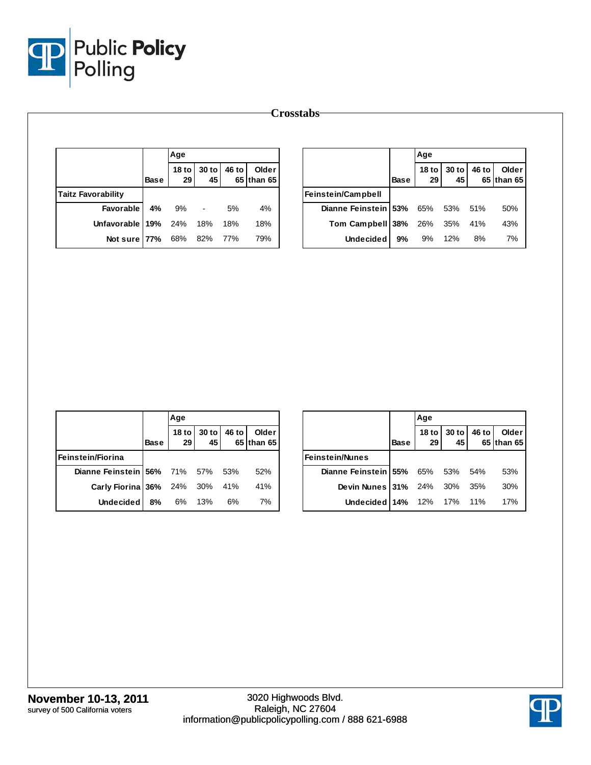

|                           |             | Age                    |                |       |                     |                      |             | Age                    |             |       |                     |
|---------------------------|-------------|------------------------|----------------|-------|---------------------|----------------------|-------------|------------------------|-------------|-------|---------------------|
|                           | <b>Base</b> | 18 <sub>to</sub><br>29 | $30$ to<br>45  | 46 to | Older<br>65 than 65 |                      | <b>Base</b> | 18 <sub>to</sub><br>29 | 30 to<br>45 | 46 to | Older<br>65 than 65 |
| <b>Taitz Favorability</b> |             |                        |                |       |                     | Feinstein/Campbell   |             |                        |             |       |                     |
| Favorable                 | 4%          | 9%                     | $\blacksquare$ | 5%    | 4%                  | Dianne Feinstein 53% |             | 65%                    | 53%         | 51%   | 50%                 |
| Unfavorable 19%           |             | 24%                    | 18%            | 18%   | 18%                 | Tom Campbell 38%     |             | 26%                    | 35%         | 41%   | 43%                 |
| Not sure 77%              |             | 68%                    | 82%            | 77%   | 79%                 | <b>Undecided</b>     | 9%          | 9%                     | 12%         | 8%    | 7%                  |

|                                      |      | Age                 |                                                      |       |                     |
|--------------------------------------|------|---------------------|------------------------------------------------------|-------|---------------------|
|                                      | Base | 18 to $\vert$<br>29 | $\begin{array}{c c} 30 \text{ to} \\ 45 \end{array}$ | 46 to | Older<br>65 than 65 |
| Feinstein/Fiorina                    |      |                     |                                                      |       |                     |
| Dianne Feinstein 56% 71% 57% 53%     |      |                     |                                                      |       | 52%                 |
| <b>Carly Fiorina 36%</b> 24% 30% 41% |      |                     |                                                      |       | 41%                 |
| <b>Undecided</b>                     | 8%   | 6% 13%              |                                                      | 6%    | 7%                  |

|                                    |             | Aqe                    |             |       |                     |
|------------------------------------|-------------|------------------------|-------------|-------|---------------------|
|                                    | <b>Base</b> | 18 <sub>to</sub><br>29 | 30 to<br>45 | 46 to | Older<br>65 than 65 |
| <b>Feinstein/Nunes</b>             |             |                        |             |       |                     |
| Dianne Feinstein   55% 65% 53% 54% |             |                        |             |       | 53%                 |
| <b>Devin Nunes 31%</b> 24% 30% 35% |             |                        |             |       | 30%                 |
| Undecided 14% 12% 17% 11%          |             |                        |             |       | 17%                 |